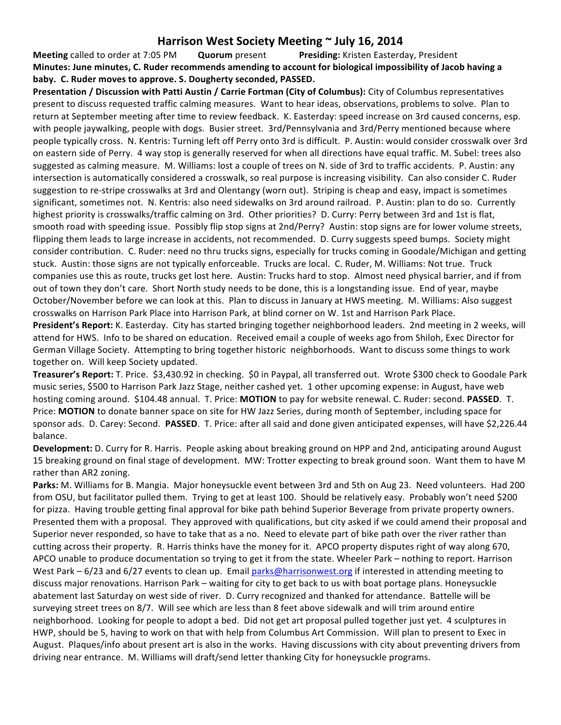## Harrison West Society Meeting  $\sim$  July 16, 2014

**Meeting** called to order at 7:05 PM **Quorum** present **Presiding:** Kristen Easterday, President **Minutes: June minutes, C. Ruder recommends amending to account for biological impossibility of Jacob having a baby.** C. Ruder moves to approve. S. Dougherty seconded, PASSED.

Presentation / Discussion with Patti Austin / Carrie Fortman (City of Columbus): City of Columbus representatives present to discuss requested traffic calming measures. Want to hear ideas, observations, problems to solve. Plan to return at September meeting after time to review feedback. K. Easterday: speed increase on 3rd caused concerns, esp. with people jaywalking, people with dogs. Busier street. 3rd/Pennsylvania and 3rd/Perry mentioned because where people typically cross. N. Kentris: Turning left off Perry onto 3rd is difficult. P. Austin: would consider crosswalk over 3rd on eastern side of Perry. 4 way stop is generally reserved for when all directions have equal traffic. M. Subel: trees also suggested as calming measure. M. Williams: lost a couple of trees on N. side of 3rd to traffic accidents. P. Austin: any intersection is automatically considered a crosswalk, so real purpose is increasing visibility. Can also consider C. Ruder suggestion to re-stripe crosswalks at 3rd and Olentangy (worn out). Striping is cheap and easy, impact is sometimes significant, sometimes not. N. Kentris: also need sidewalks on 3rd around railroad. P. Austin: plan to do so. Currently highest priority is crosswalks/traffic calming on 3rd. Other priorities? D. Curry: Perry between 3rd and 1st is flat, smooth road with speeding issue. Possibly flip stop signs at 2nd/Perry? Austin: stop signs are for lower volume streets, flipping them leads to large increase in accidents, not recommended. D. Curry suggests speed bumps. Society might consider contribution. C. Ruder: need no thru trucks signs, especially for trucks coming in Goodale/Michigan and getting stuck. Austin: those signs are not typically enforceable. Trucks are local. C. Ruder, M. Williams: Not true. Truck companies use this as route, trucks get lost here. Austin: Trucks hard to stop. Almost need physical barrier, and if from out of town they don't care. Short North study needs to be done, this is a longstanding issue. End of year, maybe October/November before we can look at this. Plan to discuss in January at HWS meeting. M. Williams: Also suggest crosswalks on Harrison Park Place into Harrison Park, at blind corner on W. 1st and Harrison Park Place.

President's Report: K. Easterday. City has started bringing together neighborhood leaders. 2nd meeting in 2 weeks, will attend for HWS. Info to be shared on education. Received email a couple of weeks ago from Shiloh, Exec Director for German Village Society. Attempting to bring together historic neighborhoods. Want to discuss some things to work together on. Will keep Society updated.

**Treasurer's Report:** T. Price. \$3,430.92 in checking. \$0 in Paypal, all transferred out. Wrote \$300 check to Goodale Park music series, \$500 to Harrison Park Jazz Stage, neither cashed yet. 1 other upcoming expense: in August, have web hosting coming around. \$104.48 annual. T. Price: MOTION to pay for website renewal. C. Ruder: second. PASSED. T. Price: MOTION to donate banner space on site for HW Jazz Series, during month of September, including space for sponsor ads. D. Carey: Second. PASSED. T. Price: after all said and done given anticipated expenses, will have \$2,226.44 balance.

**Development:** D. Curry for R. Harris. People asking about breaking ground on HPP and 2nd, anticipating around August 15 breaking ground on final stage of development. MW: Trotter expecting to break ground soon. Want them to have M rather than AR2 zoning.

**Parks:** M. Williams for B. Mangia. Major honeysuckle event between 3rd and 5th on Aug 23. Need volunteers. Had 200 from OSU, but facilitator pulled them. Trying to get at least 100. Should be relatively easy. Probably won't need \$200 for pizza. Having trouble getting final approval for bike path behind Superior Beverage from private property owners. Presented them with a proposal. They approved with qualifications, but city asked if we could amend their proposal and Superior never responded, so have to take that as a no. Need to elevate part of bike path over the river rather than cutting across their property. R. Harris thinks have the money for it. APCO property disputes right of way along 670, APCO unable to produce documentation so trying to get it from the state. Wheeler Park – nothing to report. Harrison West Park  $-6/23$  and  $6/27$  events to clean up. Email parks@harrisonwest.org if interested in attending meeting to discuss major renovations. Harrison Park – waiting for city to get back to us with boat portage plans. Honeysuckle abatement last Saturday on west side of river. D. Curry recognized and thanked for attendance. Battelle will be surveying street trees on 8/7. Will see which are less than 8 feet above sidewalk and will trim around entire neighborhood. Looking for people to adopt a bed. Did not get art proposal pulled together just yet. 4 sculptures in HWP, should be 5, having to work on that with help from Columbus Art Commission. Will plan to present to Exec in August. Plaques/info about present art is also in the works. Having discussions with city about preventing drivers from driving near entrance. M. Williams will draft/send letter thanking City for honeysuckle programs.